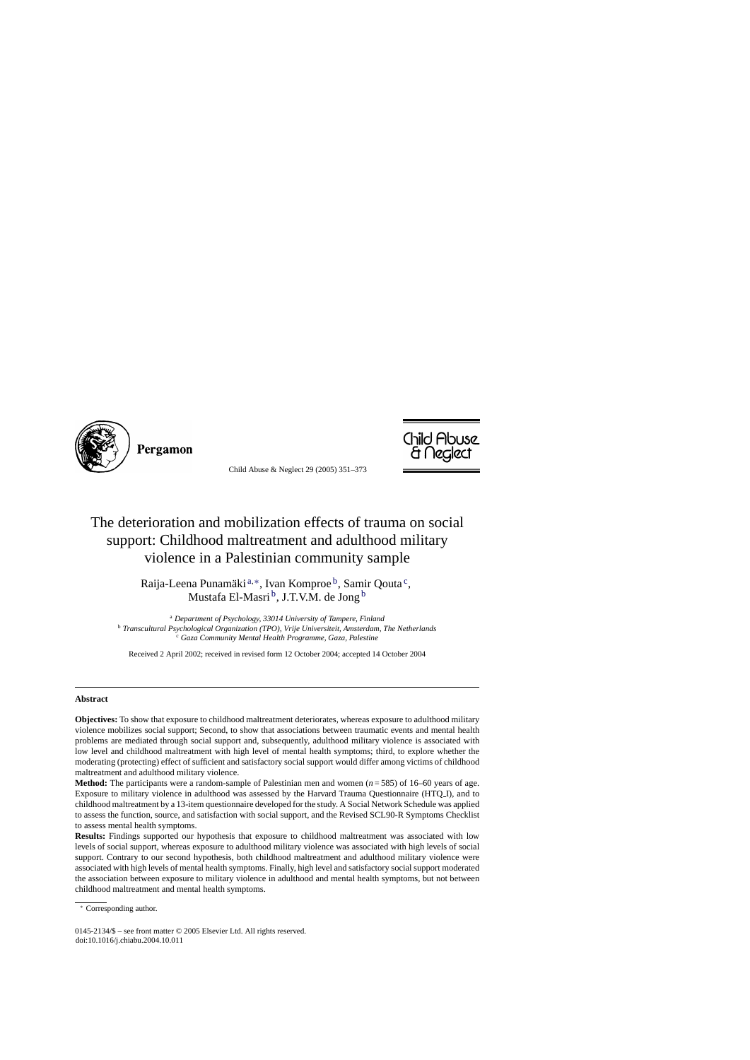

Pergamon

Child Abuse & Neglect 29 (2005) 351–373



## The deterioration and mobilization effects of trauma on social support: Childhood maltreatment and adulthood military violence in a Palestinian community sample

Raija-Leena Punamäki<sup>a,∗</sup>, Ivan Komproe<sup>b</sup>, Samir Oouta<sup>c</sup>, Mustafa El-Masri<sup>b</sup>, J.T.V.M. de Jong<sup>b</sup>

<sup>a</sup> *Department of Psychology, 33014 University of Tampere, Finland* <sup>b</sup> *Transcultural Psychological Organization (TPO), Vrije Universiteit, Amsterdam, The Netherlands* <sup>c</sup> *Gaza Community Mental Health Programme, Gaza, Palestine*

Received 2 April 2002; received in revised form 12 October 2004; accepted 14 October 2004

## **Abstract**

**Objectives:** To show that exposure to childhood maltreatment deteriorates, whereas exposure to adulthood military violence mobilizes social support; Second, to show that associations between traumatic events and mental health problems are mediated through social support and, subsequently, adulthood military violence is associated with low level and childhood maltreatment with high level of mental health symptoms; third, to explore whether the moderating (protecting) effect of sufficient and satisfactory social support would differ among victims of childhood maltreatment and adulthood military violence.

**Method:** The participants were a random-sample of Palestinian men and women  $(n = 585)$  of 16–60 years of age. Exposure to military violence in adulthood was assessed by the Harvard Trauma Questionnaire (HTQ I), and to childhood maltreatment by a 13-item questionnaire developed for the study. A Social Network Schedule was applied to assess the function, source, and satisfaction with social support, and the Revised SCL90-R Symptoms Checklist to assess mental health symptoms.

**Results:** Findings supported our hypothesis that exposure to childhood maltreatment was associated with low levels of social support, whereas exposure to adulthood military violence was associated with high levels of social support. Contrary to our second hypothesis, both childhood maltreatment and adulthood military violence were associated with high levels of mental health symptoms. Finally, high level and satisfactory social support moderated the association between exposure to military violence in adulthood and mental health symptoms, but not between childhood maltreatment and mental health symptoms.

Corresponding author.

<sup>0145-2134/\$ –</sup> see front matter © 2005 Elsevier Ltd. All rights reserved. doi:10.1016/j.chiabu.2004.10.011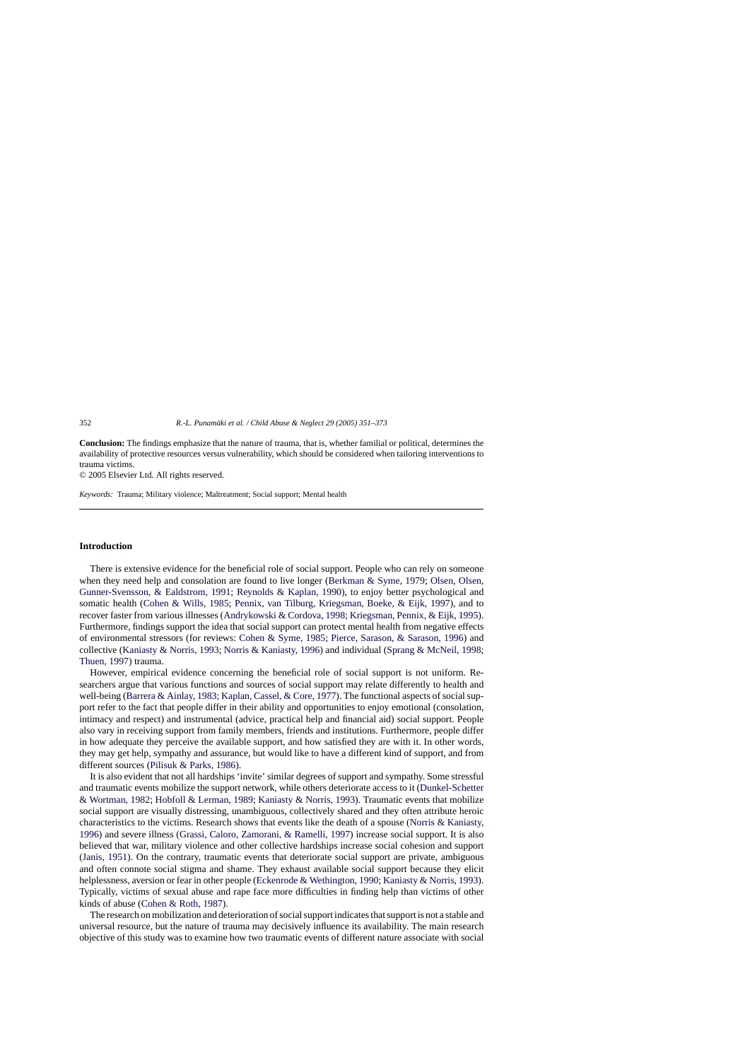**Conclusion:** The findings emphasize that the nature of trauma, that is, whether familial or political, determines the availability of protective resources versus vulnerability, which should be considered when tailoring interventions to trauma victims.

© 2005 Elsevier Ltd. All rights reserved.

*Keywords:* Trauma; Military violence; Maltreatment; Social support; Mental health

## **Introduction**

There is extensive evidence for the beneficial role of social support. People who can rely on someone when they need help and consolation are found to live longer ([Berkman & Syme, 1979;](#page--1-0) [Olsen, Olsen,](#page--1-0) [Gunner-Svensson, & Ealdstrom, 1991;](#page--1-0) [Reynolds & Kaplan, 1990\)](#page--1-0), to enjoy better psychological and somatic health ([Cohen & Wills, 1985;](#page--1-0) [Pennix, van Tilburg, Kriegsman, Boeke, & Eijk, 1997](#page--1-0)), and to recover faster from various illnesses [\(Andrykowski & Cordova, 1998;](#page--1-0) [Kriegsman, Pennix, & Eijk, 1995\).](#page--1-0) Furthermore, findings support the idea that social support can protect mental health from negative effects of environmental stressors (for reviews: [Cohen & Syme, 1985;](#page--1-0) [Pierce, Sarason, & Sarason, 1996\)](#page--1-0) and collective ([Kaniasty & Norris, 1993;](#page--1-0) [Norris & Kaniasty, 1996\)](#page--1-0) and individual ([Sprang & McNeil, 1998;](#page--1-0) [Thuen, 1997\)](#page--1-0) trauma.

However, empirical evidence concerning the beneficial role of social support is not uniform. Researchers argue that various functions and sources of social support may relate differently to health and well-being ([Barrera & Ainlay, 1983;](#page--1-0) [Kaplan, Cassel, & Core, 1977\).](#page--1-0) The functional aspects of social support refer to the fact that people differ in their ability and opportunities to enjoy emotional (consolation, intimacy and respect) and instrumental (advice, practical help and financial aid) social support. People also vary in receiving support from family members, friends and institutions. Furthermore, people differ in how adequate they perceive the available support, and how satisfied they are with it. In other words, they may get help, sympathy and assurance, but would like to have a different kind of support, and from different sources ([Pilisuk & Parks, 1986\).](#page--1-0)

It is also evident that not all hardships 'invite' similar degrees of support and sympathy. Some stressful and traumatic events mobilize the support network, while others deteriorate access to it ([Dunkel-Schetter](#page--1-0) [& Wortman, 1982;](#page--1-0) [Hobfoll & Lerman, 1989;](#page--1-0) [Kaniasty & Norris, 1993\).](#page--1-0) Traumatic events that mobilize social support are visually distressing, unambiguous, collectively shared and they often attribute heroic characteristics to the victims. Research shows that events like the death of a spouse [\(Norris & Kaniasty,](#page--1-0) [1996\)](#page--1-0) and severe illness ([Grassi, Caloro, Zamorani, & Ramelli, 1997\)](#page--1-0) increase social support. It is also believed that war, military violence and other collective hardships increase social cohesion and support ([Janis, 1951\).](#page--1-0) On the contrary, traumatic events that deteriorate social support are private, ambiguous and often connote social stigma and shame. They exhaust available social support because they elicit helplessness, aversion or fear in other people [\(Eckenrode & Wethington, 1990;](#page--1-0) [Kaniasty & Norris, 1993\).](#page--1-0) Typically, victims of sexual abuse and rape face more difficulties in finding help than victims of other kinds of abuse ([Cohen & Roth, 1987\).](#page--1-0)

The research on mobilization and deterioration of social support indicates that support is not a stable and universal resource, but the nature of trauma may decisively influence its availability. The main research objective of this study was to examine how two traumatic events of different nature associate with social